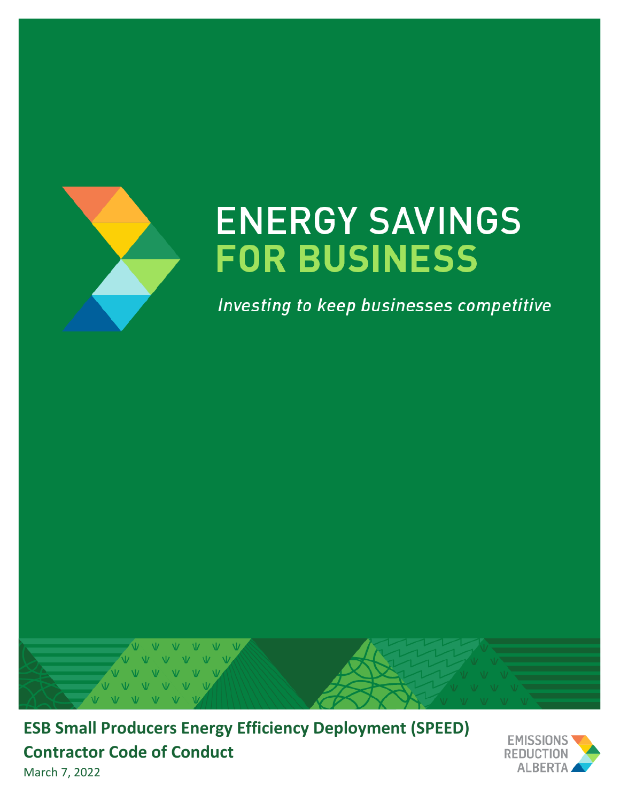

# **ENERGY SAVINGS FOR BUSINESS**

Investing to keep businesses competitive



**ESB Small Producers Energy Efficiency Deployment (SPEED) Contractor Code of Conduct**



March 7, 2022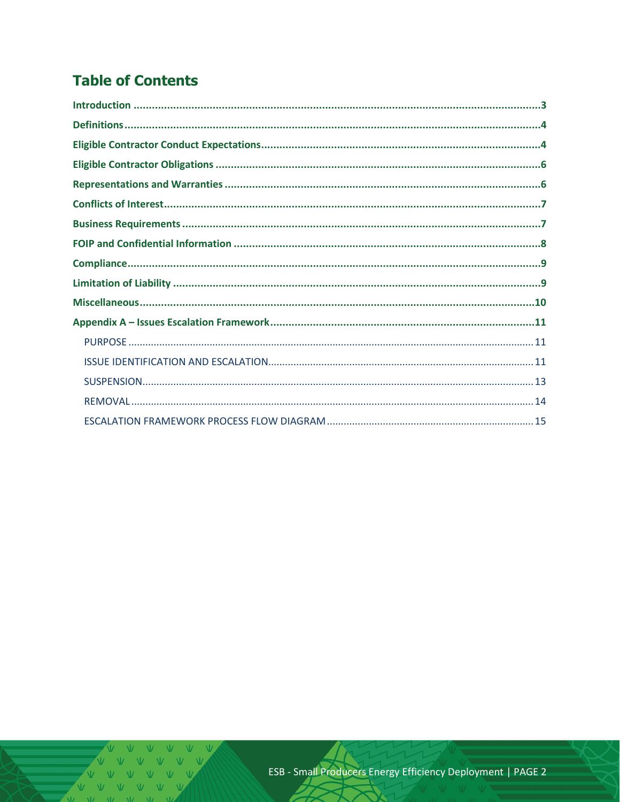# **Table of Contents**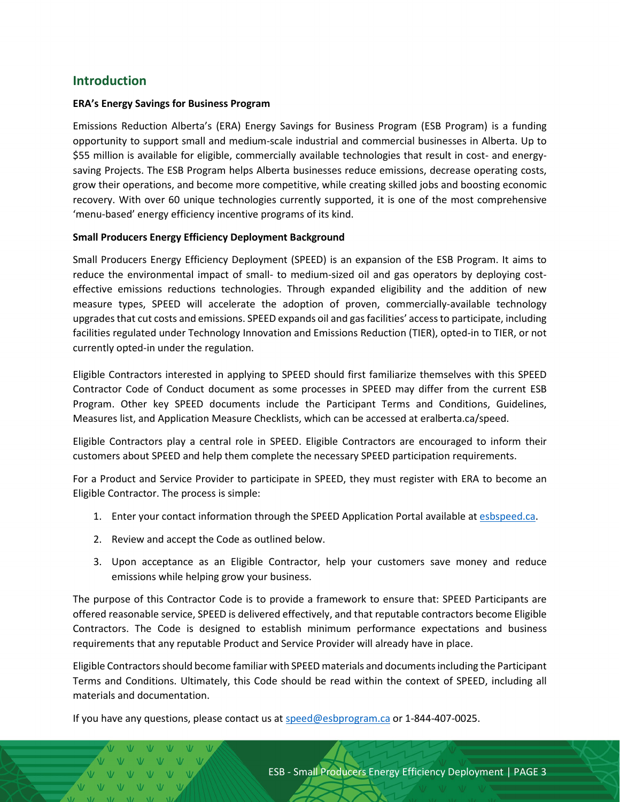### <span id="page-2-0"></span>**Introduction**

#### **ERA's Energy Savings for Business Program**

Emissions Reduction Alberta's (ERA) Energy Savings for Business Program (ESB Program) is a funding opportunity to support small and medium-scale industrial and commercial businesses in Alberta. Up to \$55 million is available for eligible, commercially available technologies that result in cost- and energysaving Projects. The ESB Program helps Alberta businesses reduce emissions, decrease operating costs, grow their operations, and become more competitive, while creating skilled jobs and boosting economic recovery. With over 60 unique technologies currently supported, it is one of the most comprehensive 'menu-based' energy efficiency incentive programs of its kind.

#### **Small Producers Energy Efficiency Deployment Background**

Small Producers Energy Efficiency Deployment (SPEED) is an expansion of the ESB Program. It aims to reduce the environmental impact of small- to medium-sized oil and gas operators by deploying costeffective emissions reductions technologies. Through expanded eligibility and the addition of new measure types, SPEED will accelerate the adoption of proven, commercially-available technology upgrades that cut costs and emissions. SPEED expands oil and gas facilities' access to participate, including facilities regulated under Technology Innovation and Emissions Reduction (TIER), opted-in to TIER, or not currently opted-in under the regulation.

Eligible Contractors interested in applying to SPEED should first familiarize themselves with this SPEED Contractor Code of Conduct document as some processes in SPEED may differ from the current ESB Program. Other key SPEED documents include the Participant Terms and Conditions, Guidelines, Measures list, and Application Measure Checklists, which can be accessed at eralberta.ca/speed.

Eligible Contractors play a central role in SPEED. Eligible Contractors are encouraged to inform their customers about SPEED and help them complete the necessary SPEED participation requirements.

For a Product and Service Provider to participate in SPEED, they must register with ERA to become an Eligible Contractor. The process is simple:

- 1. Enter your contact information through the SPEED Application Portal available at [esbspeed.ca.](http://www.esbspeed.ca/)
- 2. Review and accept the Code as outlined below.
- 3. Upon acceptance as an Eligible Contractor, help your customers save money and reduce emissions while helping grow your business.

The purpose of this Contractor Code is to provide a framework to ensure that: SPEED Participants are offered reasonable service, SPEED is delivered effectively, and that reputable contractors become Eligible Contractors. The Code is designed to establish minimum performance expectations and business requirements that any reputable Product and Service Provider will already have in place.

Eligible Contractors should become familiar with SPEED materials and documents including the Participant Terms and Conditions. Ultimately, this Code should be read within the context of SPEED, including all materials and documentation.

If you have any questions, please contact us at [speed@esbprogram.ca](mailto:speed@esbprogram.ca) or 1-844-407-0025.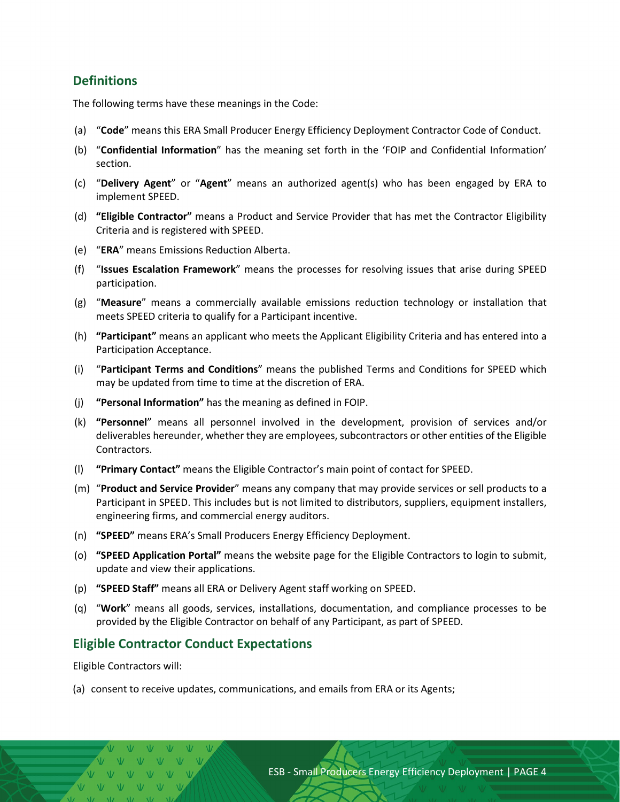### <span id="page-3-0"></span>**Definitions**

The following terms have these meanings in the Code:

- (a) "**Code**" means this ERA Small Producer Energy Efficiency Deployment Contractor Code of Conduct.
- (b) "**Confidential Information**" has the meaning set forth in the 'FOIP and Confidential Information' section.
- (c) "**Delivery Agent**" or "**Agent**" means an authorized agent(s) who has been engaged by ERA to implement SPEED.
- (d) **"Eligible Contractor"** means a Product and Service Provider that has met the Contractor Eligibility Criteria and is registered with SPEED.
- (e) "**ERA**" means Emissions Reduction Alberta.
- (f) "**Issues Escalation Framework**" means the processes for resolving issues that arise during SPEED participation.
- (g) "**Measure**" means a commercially available emissions reduction technology or installation that meets SPEED criteria to qualify for a Participant incentive.
- (h) **"Participant"** means an applicant who meets the Applicant Eligibility Criteria and has entered into a Participation Acceptance.
- (i) "**Participant Terms and Conditions**" means the published Terms and Conditions for SPEED which may be updated from time to time at the discretion of ERA.
- (j) **"Personal Information"** has the meaning as defined in FOIP.
- (k) **"Personnel**" means all personnel involved in the development, provision of services and/or deliverables hereunder, whether they are employees, subcontractors or other entities of the Eligible Contractors.
- (l) **"Primary Contact"** means the Eligible Contractor's main point of contact for SPEED.
- (m) "**Product and Service Provider**" means any company that may provide services or sell products to a Participant in SPEED. This includes but is not limited to distributors, suppliers, equipment installers, engineering firms, and commercial energy auditors.
- (n) **"SPEED"** means ERA's Small Producers Energy Efficiency Deployment.
- (o) **"SPEED Application Portal"** means the website page for the Eligible Contractors to login to submit, update and view their applications.
- (p) **"SPEED Staff"** means all ERA or Delivery Agent staff working on SPEED.
- (q) "**Work**" means all goods, services, installations, documentation, and compliance processes to be provided by the Eligible Contractor on behalf of any Participant, as part of SPEED.

#### <span id="page-3-1"></span>**Eligible Contractor Conduct Expectations**

Eligible Contractors will:

(a) consent to receive updates, communications, and emails from ERA or its Agents;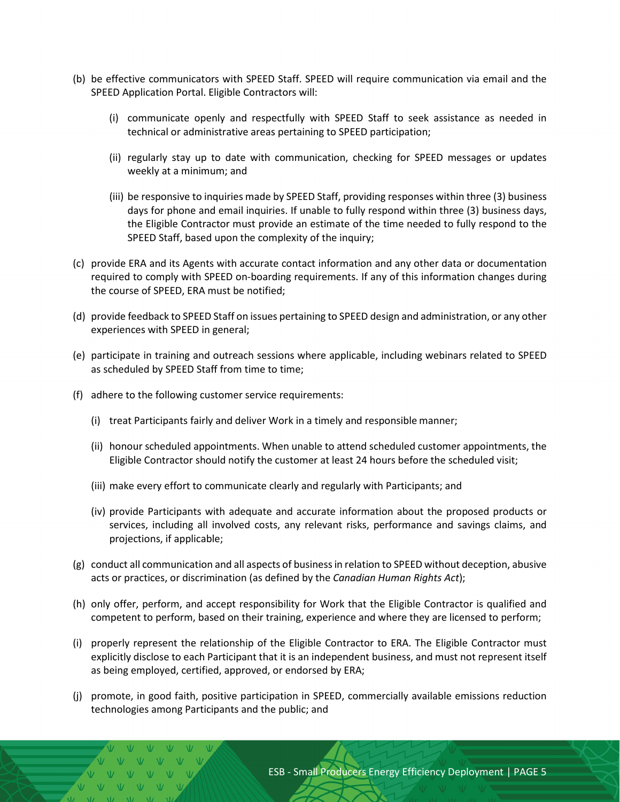- (b) be effective communicators with SPEED Staff. SPEED will require communication via email and the SPEED Application Portal. Eligible Contractors will:
	- (i) communicate openly and respectfully with SPEED Staff to seek assistance as needed in technical or administrative areas pertaining to SPEED participation;
	- (ii) regularly stay up to date with communication, checking for SPEED messages or updates weekly at a minimum; and
	- (iii) be responsive to inquiries made by SPEED Staff, providing responses within three (3) business days for phone and email inquiries. If unable to fully respond within three (3) business days, the Eligible Contractor must provide an estimate of the time needed to fully respond to the SPEED Staff, based upon the complexity of the inquiry;
- (c) provide ERA and its Agents with accurate contact information and any other data or documentation required to comply with SPEED on-boarding requirements. If any of this information changes during the course of SPEED, ERA must be notified;
- (d) provide feedback to SPEED Staff on issues pertaining to SPEED design and administration, or any other experiences with SPEED in general;
- (e) participate in training and outreach sessions where applicable, including webinars related to SPEED as scheduled by SPEED Staff from time to time;
- (f) adhere to the following customer service requirements:

 $V = VV - VV - VV$ 

- (i) treat Participants fairly and deliver Work in a timely and responsible manner;
- (ii) honour scheduled appointments. When unable to attend scheduled customer appointments, the Eligible Contractor should notify the customer at least 24 hours before the scheduled visit;
- (iii) make every effort to communicate clearly and regularly with Participants; and
- (iv) provide Participants with adequate and accurate information about the proposed products or services, including all involved costs, any relevant risks, performance and savings claims, and projections, if applicable;
- (g) conduct all communication and all aspects of business in relation to SPEED without deception, abusive acts or practices, or discrimination (as defined by the *Canadian Human Rights Act*);
- (h) only offer, perform, and accept responsibility for Work that the Eligible Contractor is qualified and competent to perform, based on their training, experience and where they are licensed to perform;
- (i) properly represent the relationship of the Eligible Contractor to ERA. The Eligible Contractor must explicitly disclose to each Participant that it is an independent business, and must not represent itself as being employed, certified, approved, or endorsed by ERA;
- (j) promote, in good faith, positive participation in SPEED, commercially available emissions reduction technologies among Participants and the public; and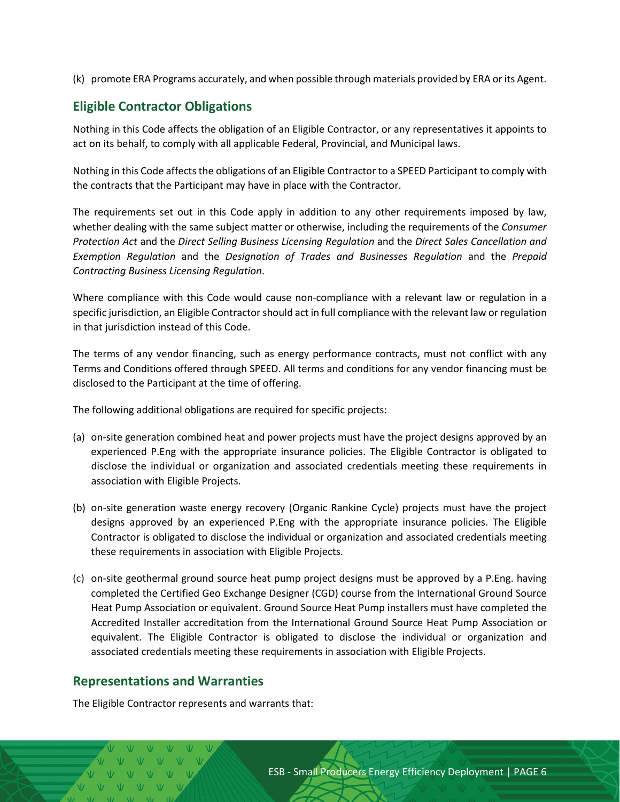(k) promote ERA Programs accurately, and when possible through materials provided by ERA or its Agent.

# <span id="page-5-0"></span>**Eligible Contractor Obligations**

Nothing in this Code affects the obligation of an Eligible Contractor, or any representatives it appoints to act on its behalf, to comply with all applicable Federal, Provincial, and Municipal laws.

Nothing in this Code affects the obligations of an Eligible Contractor to a SPEED Participant to comply with the contracts that the Participant may have in place with the Contractor.

The requirements set out in this Code apply in addition to any other requirements imposed by law, whether dealing with the same subject matter or otherwise, including the requirements of the *Consumer Protection Act* and the *Direct Selling Business Licensing Regulation* and the *Direct Sales Cancellation and Exemption Regulation* and the *Designation of Trades and Businesses Regulation* and the *Prepaid Contracting Business Licensing Regulation*.

Where compliance with this Code would cause non-compliance with a relevant law or regulation in a specific jurisdiction, an Eligible Contractor should act in full compliance with the relevant law or regulation in that jurisdiction instead of this Code.

The terms of any vendor financing, such as energy performance contracts, must not conflict with any Terms and Conditions offered through SPEED. All terms and conditions for any vendor financing must be disclosed to the Participant at the time of offering.

The following additional obligations are required for specific projects:

- (a) on-site generation combined heat and power projects must have the project designs approved by an experienced P.Eng with the appropriate insurance policies. The Eligible Contractor is obligated to disclose the individual or organization and associated credentials meeting these requirements in association with Eligible Projects.
- (b) on-site generation waste energy recovery (Organic Rankine Cycle) projects must have the project designs approved by an experienced P.Eng with the appropriate insurance policies. The Eligible Contractor is obligated to disclose the individual or organization and associated credentials meeting these requirements in association with Eligible Projects.
- (c) on-site geothermal ground source heat pump project designs must be approved by a P.Eng. having completed the Certified Geo Exchange Designer (CGD) course from the International Ground Source Heat Pump Association or equivalent. Ground Source Heat Pump installers must have completed the Accredited Installer accreditation from the International Ground Source Heat Pump Association or equivalent. The Eligible Contractor is obligated to disclose the individual or organization and associated credentials meeting these requirements in association with Eligible Projects.

# <span id="page-5-1"></span>**Representations and Warranties**

The Eligible Contractor represents and warrants that: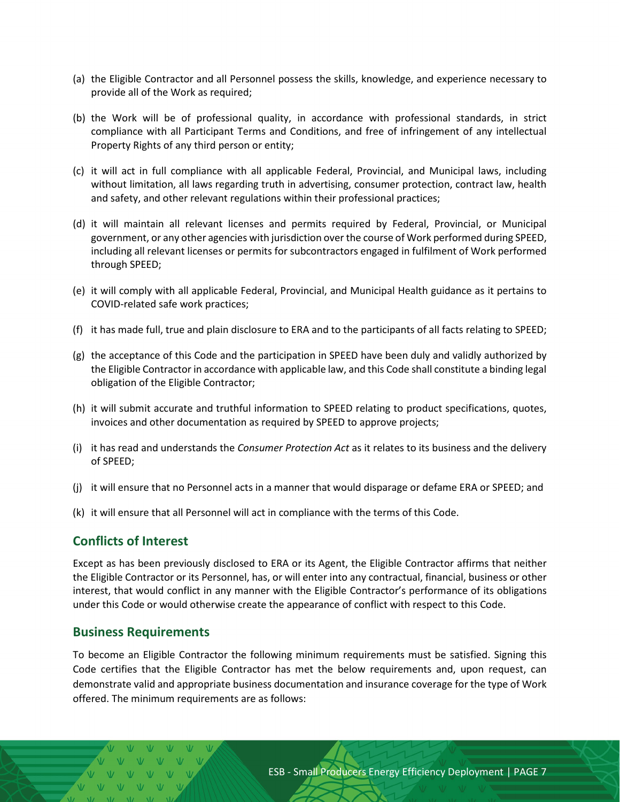- (a) the Eligible Contractor and all Personnel possess the skills, knowledge, and experience necessary to provide all of the Work as required;
- (b) the Work will be of professional quality, in accordance with professional standards, in strict compliance with all Participant Terms and Conditions, and free of infringement of any intellectual Property Rights of any third person or entity;
- (c) it will act in full compliance with all applicable Federal, Provincial, and Municipal laws, including without limitation, all laws regarding truth in advertising, consumer protection, contract law, health and safety, and other relevant regulations within their professional practices;
- (d) it will maintain all relevant licenses and permits required by Federal, Provincial, or Municipal government, or any other agencies with jurisdiction over the course of Work performed during SPEED, including all relevant licenses or permits for subcontractors engaged in fulfilment of Work performed through SPEED;
- (e) it will comply with all applicable Federal, Provincial, and Municipal Health guidance as it pertains to COVID-related safe work practices;
- (f) it has made full, true and plain disclosure to ERA and to the participants of all facts relating to SPEED;
- (g) the acceptance of this Code and the participation in SPEED have been duly and validly authorized by the Eligible Contractor in accordance with applicable law, and this Code shall constitute a binding legal obligation of the Eligible Contractor;
- (h) it will submit accurate and truthful information to SPEED relating to product specifications, quotes, invoices and other documentation as required by SPEED to approve projects;
- (i) it has read and understands the *Consumer Protection Act* as it relates to its business and the delivery of SPEED;
- (j) it will ensure that no Personnel acts in a manner that would disparage or defame ERA or SPEED; and
- (k) it will ensure that all Personnel will act in compliance with the terms of this Code.

#### <span id="page-6-0"></span>**Conflicts of Interest**

Except as has been previously disclosed to ERA or its Agent, the Eligible Contractor affirms that neither the Eligible Contractor or its Personnel, has, or will enter into any contractual, financial, business or other interest, that would conflict in any manner with the Eligible Contractor's performance of its obligations under this Code or would otherwise create the appearance of conflict with respect to this Code.

#### <span id="page-6-1"></span>**Business Requirements**

To become an Eligible Contractor the following minimum requirements must be satisfied. Signing this Code certifies that the Eligible Contractor has met the below requirements and, upon request, can demonstrate valid and appropriate business documentation and insurance coverage for the type of Work offered. The minimum requirements are as follows: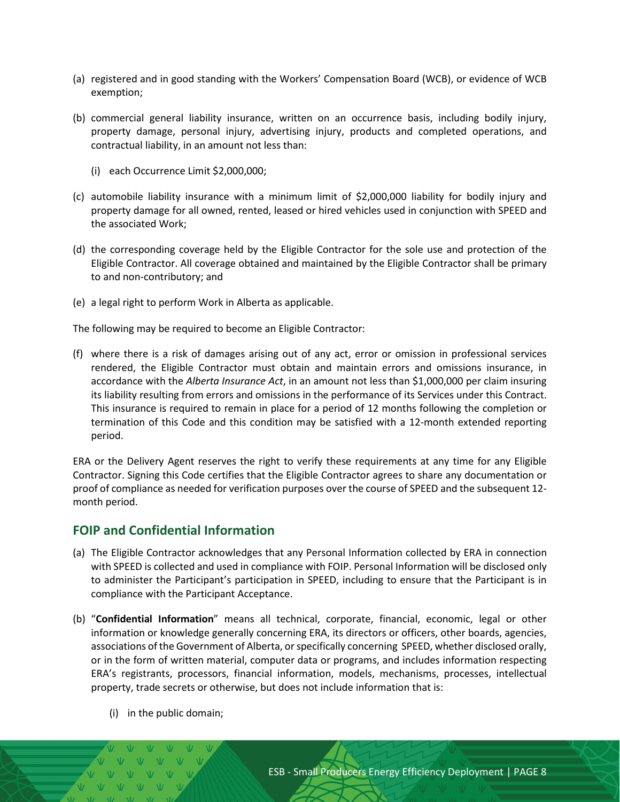- (a) registered and in good standing with the Workers' Compensation Board (WCB), or evidence of WCB exemption;
- (b) commercial general liability insurance, written on an occurrence basis, including bodily injury, property damage, personal injury, advertising injury, products and completed operations, and contractual liability, in an amount not less than:
	- (i) each Occurrence Limit \$2,000,000;
- (c) automobile liability insurance with a minimum limit of \$2,000,000 liability for bodily injury and property damage for all owned, rented, leased or hired vehicles used in conjunction with SPEED and the associated Work;
- (d) the corresponding coverage held by the Eligible Contractor for the sole use and protection of the Eligible Contractor. All coverage obtained and maintained by the Eligible Contractor shall be primary to and non-contributory; and
- (e) a legal right to perform Work in Alberta as applicable.

The following may be required to become an Eligible Contractor:

(f) where there is a risk of damages arising out of any act, error or omission in professional services rendered, the Eligible Contractor must obtain and maintain errors and omissions insurance, in accordance with the *Alberta Insurance Act*, in an amount not less than \$1,000,000 per claim insuring its liability resulting from errors and omissions in the performance of its Services under this Contract. This insurance is required to remain in place for a period of 12 months following the completion or termination of this Code and this condition may be satisfied with a 12-month extended reporting period.

ERA or the Delivery Agent reserves the right to verify these requirements at any time for any Eligible Contractor. Signing this Code certifies that the Eligible Contractor agrees to share any documentation or proof of compliance as needed for verification purposes over the course of SPEED and the subsequent 12 month period.

#### <span id="page-7-0"></span>**FOIP and Confidential Information**

- (a) The Eligible Contractor acknowledges that any Personal Information collected by ERA in connection with SPEED is collected and used in compliance with FOIP. Personal Information will be disclosed only to administer the Participant's participation in SPEED, including to ensure that the Participant is in compliance with the Participant Acceptance.
- (b) "**Confidential Information**" means all technical, corporate, financial, economic, legal or other information or knowledge generally concerning ERA, its directors or officers, other boards, agencies, associations of the Government of Alberta, or specifically concerning SPEED, whether disclosed orally, or in the form of written material, computer data or programs, and includes information respecting ERA's registrants, processors, financial information, models, mechanisms, processes, intellectual property, trade secrets or otherwise, but does not include information that is:
	- (i) in the public domain;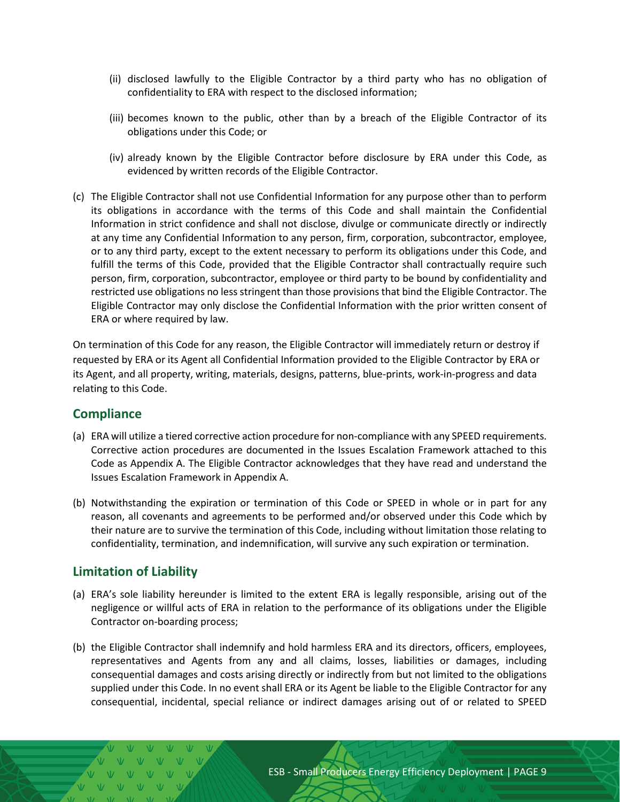- (ii) disclosed lawfully to the Eligible Contractor by a third party who has no obligation of confidentiality to ERA with respect to the disclosed information;
- (iii) becomes known to the public, other than by a breach of the Eligible Contractor of its obligations under this Code; or
- (iv) already known by the Eligible Contractor before disclosure by ERA under this Code, as evidenced by written records of the Eligible Contractor.
- (c) The Eligible Contractor shall not use Confidential Information for any purpose other than to perform its obligations in accordance with the terms of this Code and shall maintain the Confidential Information in strict confidence and shall not disclose, divulge or communicate directly or indirectly at any time any Confidential Information to any person, firm, corporation, subcontractor, employee, or to any third party, except to the extent necessary to perform its obligations under this Code, and fulfill the terms of this Code, provided that the Eligible Contractor shall contractually require such person, firm, corporation, subcontractor, employee or third party to be bound by confidentiality and restricted use obligations no less stringent than those provisions that bind the Eligible Contractor. The Eligible Contractor may only disclose the Confidential Information with the prior written consent of ERA or where required by law.

On termination of this Code for any reason, the Eligible Contractor will immediately return or destroy if requested by ERA or its Agent all Confidential Information provided to the Eligible Contractor by ERA or its Agent, and all property, writing, materials, designs, patterns, blue-prints, work-in-progress and data relating to this Code.

#### <span id="page-8-0"></span>**Compliance**

- (a) ERA will utilize a tiered corrective action procedure for non-compliance with any SPEED requirements. Corrective action procedures are documented in the Issues Escalation Framework attached to this Code as Appendix A. The Eligible Contractor acknowledges that they have read and understand the Issues Escalation Framework in Appendix A.
- (b) Notwithstanding the expiration or termination of this Code or SPEED in whole or in part for any reason, all covenants and agreements to be performed and/or observed under this Code which by their nature are to survive the termination of this Code, including without limitation those relating to confidentiality, termination, and indemnification, will survive any such expiration or termination.

# <span id="page-8-1"></span>**Limitation of Liability**

- (a) ERA's sole liability hereunder is limited to the extent ERA is legally responsible, arising out of the negligence or willful acts of ERA in relation to the performance of its obligations under the Eligible Contractor on-boarding process;
- (b) the Eligible Contractor shall indemnify and hold harmless ERA and its directors, officers, employees, representatives and Agents from any and all claims, losses, liabilities or damages, including consequential damages and costs arising directly or indirectly from but not limited to the obligations supplied under this Code. In no event shall ERA or its Agent be liable to the Eligible Contractor for any consequential, incidental, special reliance or indirect damages arising out of or related to SPEED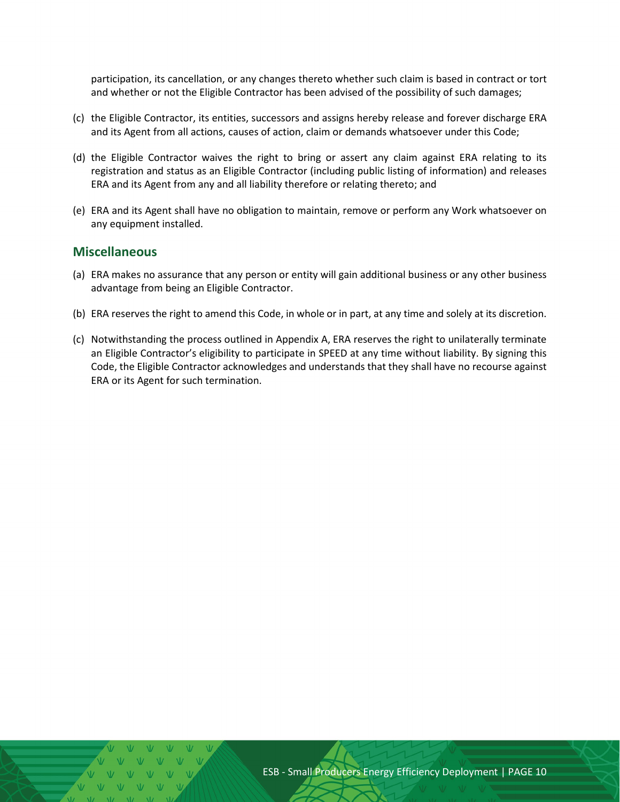participation, its cancellation, or any changes thereto whether such claim is based in contract or tort and whether or not the Eligible Contractor has been advised of the possibility of such damages;

- (c) the Eligible Contractor, its entities, successors and assigns hereby release and forever discharge ERA and its Agent from all actions, causes of action, claim or demands whatsoever under this Code;
- (d) the Eligible Contractor waives the right to bring or assert any claim against ERA relating to its registration and status as an Eligible Contractor (including public listing of information) and releases ERA and its Agent from any and all liability therefore or relating thereto; and
- (e) ERA and its Agent shall have no obligation to maintain, remove or perform any Work whatsoever on any equipment installed.

#### <span id="page-9-0"></span>**Miscellaneous**

- (a) ERA makes no assurance that any person or entity will gain additional business or any other business advantage from being an Eligible Contractor.
- (b) ERA reserves the right to amend this Code, in whole or in part, at any time and solely at its discretion.
- (c) Notwithstanding the process outlined in Appendix A, ERA reserves the right to unilaterally terminate an Eligible Contractor's eligibility to participate in SPEED at any time without liability. By signing this Code, the Eligible Contractor acknowledges and understands that they shall have no recourse against ERA or its Agent for such termination.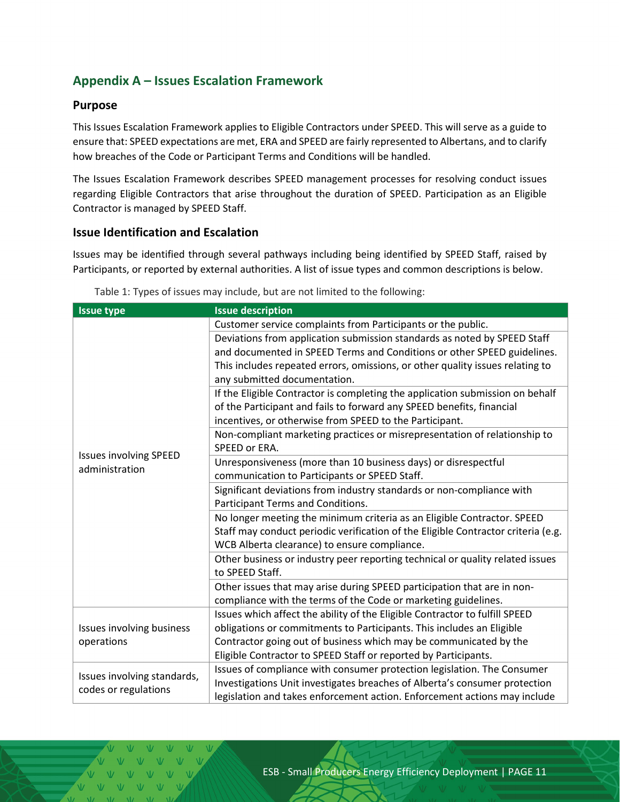# <span id="page-10-0"></span>**Appendix A – Issues Escalation Framework**

#### <span id="page-10-1"></span>**Purpose**

This Issues Escalation Framework applies to Eligible Contractors under SPEED. This will serve as a guide to ensure that: SPEED expectations are met, ERA and SPEED are fairly represented to Albertans, and to clarify how breaches of the Code or Participant Terms and Conditions will be handled.

The Issues Escalation Framework describes SPEED management processes for resolving conduct issues regarding Eligible Contractors that arise throughout the duration of SPEED. Participation as an Eligible Contractor is managed by SPEED Staff.

#### <span id="page-10-2"></span>**Issue Identification and Escalation**

Issues may be identified through several pathways including being identified by SPEED Staff, raised by Participants, or reported by external authorities. A list of issue types and common descriptions is below.

| <b>Issue type</b>                                   | <b>Issue description</b>                                                          |
|-----------------------------------------------------|-----------------------------------------------------------------------------------|
| <b>Issues involving SPEED</b><br>administration     | Customer service complaints from Participants or the public.                      |
|                                                     | Deviations from application submission standards as noted by SPEED Staff          |
|                                                     | and documented in SPEED Terms and Conditions or other SPEED guidelines.           |
|                                                     | This includes repeated errors, omissions, or other quality issues relating to     |
|                                                     | any submitted documentation.                                                      |
|                                                     | If the Eligible Contractor is completing the application submission on behalf     |
|                                                     | of the Participant and fails to forward any SPEED benefits, financial             |
|                                                     | incentives, or otherwise from SPEED to the Participant.                           |
|                                                     | Non-compliant marketing practices or misrepresentation of relationship to         |
|                                                     | SPEED or ERA.                                                                     |
|                                                     | Unresponsiveness (more than 10 business days) or disrespectful                    |
|                                                     | communication to Participants or SPEED Staff.                                     |
|                                                     | Significant deviations from industry standards or non-compliance with             |
|                                                     | Participant Terms and Conditions.                                                 |
|                                                     | No longer meeting the minimum criteria as an Eligible Contractor. SPEED           |
|                                                     | Staff may conduct periodic verification of the Eligible Contractor criteria (e.g. |
|                                                     | WCB Alberta clearance) to ensure compliance.                                      |
|                                                     | Other business or industry peer reporting technical or quality related issues     |
|                                                     | to SPEED Staff.                                                                   |
|                                                     | Other issues that may arise during SPEED participation that are in non-           |
|                                                     | compliance with the terms of the Code or marketing guidelines.                    |
| <b>Issues involving business</b><br>operations      | Issues which affect the ability of the Eligible Contractor to fulfill SPEED       |
|                                                     | obligations or commitments to Participants. This includes an Eligible             |
|                                                     | Contractor going out of business which may be communicated by the                 |
|                                                     | Eligible Contractor to SPEED Staff or reported by Participants.                   |
| Issues involving standards,<br>codes or regulations | Issues of compliance with consumer protection legislation. The Consumer           |
|                                                     | Investigations Unit investigates breaches of Alberta's consumer protection        |
|                                                     | legislation and takes enforcement action. Enforcement actions may include         |

Table 1: Types of issues may include, but are not limited to the following: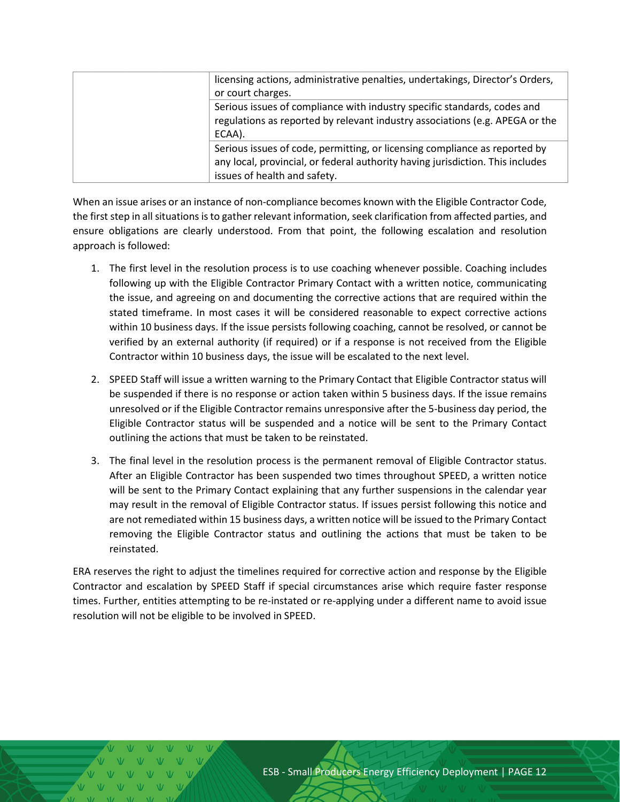|  | licensing actions, administrative penalties, undertakings, Director's Orders,<br>or court charges.                                                                                           |
|--|----------------------------------------------------------------------------------------------------------------------------------------------------------------------------------------------|
|  | Serious issues of compliance with industry specific standards, codes and<br>regulations as reported by relevant industry associations (e.g. APEGA or the<br>ECAA).                           |
|  | Serious issues of code, permitting, or licensing compliance as reported by<br>any local, provincial, or federal authority having jurisdiction. This includes<br>issues of health and safety. |

When an issue arises or an instance of non-compliance becomes known with the Eligible Contractor Code, the first step in all situations is to gather relevant information, seek clarification from affected parties, and ensure obligations are clearly understood. From that point, the following escalation and resolution approach is followed:

- 1. The first level in the resolution process is to use coaching whenever possible. Coaching includes following up with the Eligible Contractor Primary Contact with a written notice, communicating the issue, and agreeing on and documenting the corrective actions that are required within the stated timeframe. In most cases it will be considered reasonable to expect corrective actions within 10 business days. If the issue persists following coaching, cannot be resolved, or cannot be verified by an external authority (if required) or if a response is not received from the Eligible Contractor within 10 business days, the issue will be escalated to the next level.
- 2. SPEED Staff will issue a written warning to the Primary Contact that Eligible Contractor status will be suspended if there is no response or action taken within 5 business days. If the issue remains unresolved or if the Eligible Contractor remains unresponsive after the 5-business day period, the Eligible Contractor status will be suspended and a notice will be sent to the Primary Contact outlining the actions that must be taken to be reinstated.
- 3. The final level in the resolution process is the permanent removal of Eligible Contractor status. After an Eligible Contractor has been suspended two times throughout SPEED, a written notice will be sent to the Primary Contact explaining that any further suspensions in the calendar year may result in the removal of Eligible Contractor status. If issues persist following this notice and are not remediated within 15 business days, a written notice will be issued to the Primary Contact removing the Eligible Contractor status and outlining the actions that must be taken to be reinstated.

ERA reserves the right to adjust the timelines required for corrective action and response by the Eligible Contractor and escalation by SPEED Staff if special circumstances arise which require faster response times. Further, entities attempting to be re-instated or re-applying under a different name to avoid issue resolution will not be eligible to be involved in SPEED.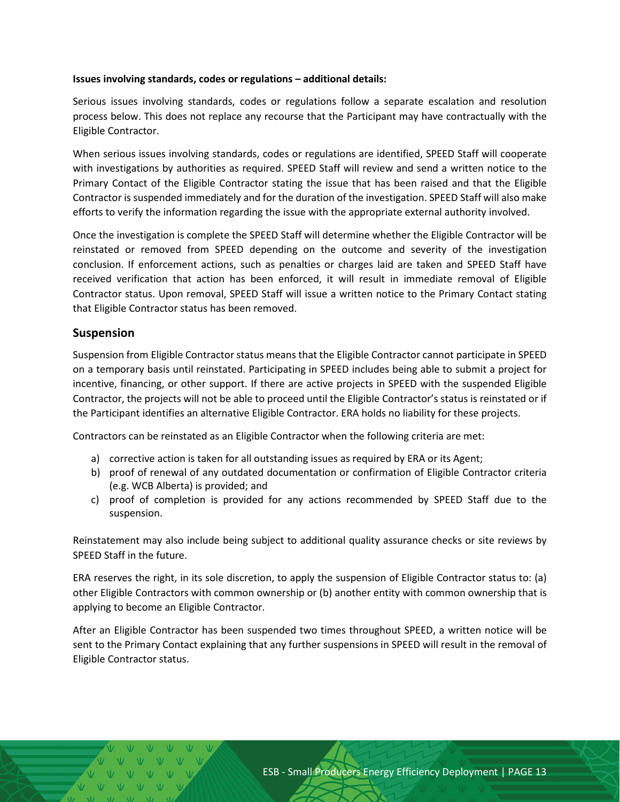#### **Issues involving standards, codes or regulations – additional details:**

Serious issues involving standards, codes or regulations follow a separate escalation and resolution process below. This does not replace any recourse that the Participant may have contractually with the Eligible Contractor.

When serious issues involving standards, codes or regulations are identified, SPEED Staff will cooperate with investigations by authorities as required. SPEED Staff will review and send a written notice to the Primary Contact of the Eligible Contractor stating the issue that has been raised and that the Eligible Contractor is suspended immediately and for the duration of the investigation. SPEED Staff will also make efforts to verify the information regarding the issue with the appropriate external authority involved.

Once the investigation is complete the SPEED Staff will determine whether the Eligible Contractor will be reinstated or removed from SPEED depending on the outcome and severity of the investigation conclusion. If enforcement actions, such as penalties or charges laid are taken and SPEED Staff have received verification that action has been enforced, it will result in immediate removal of Eligible Contractor status. Upon removal, SPEED Staff will issue a written notice to the Primary Contact stating that Eligible Contractor status has been removed.

#### <span id="page-12-0"></span>**Suspension**

Suspension from Eligible Contractor status means that the Eligible Contractor cannot participate in SPEED on a temporary basis until reinstated. Participating in SPEED includes being able to submit a project for incentive, financing, or other support. If there are active projects in SPEED with the suspended Eligible Contractor, the projects will not be able to proceed until the Eligible Contractor's status is reinstated or if the Participant identifies an alternative Eligible Contractor. ERA holds no liability for these projects.

Contractors can be reinstated as an Eligible Contractor when the following criteria are met:

- a) corrective action is taken for all outstanding issues as required by ERA or its Agent;
- b) proof of renewal of any outdated documentation or confirmation of Eligible Contractor criteria (e.g. WCB Alberta) is provided; and
- c) proof of completion is provided for any actions recommended by SPEED Staff due to the suspension.

Reinstatement may also include being subject to additional quality assurance checks or site reviews by SPEED Staff in the future.

ERA reserves the right, in its sole discretion, to apply the suspension of Eligible Contractor status to: (a) other Eligible Contractors with common ownership or (b) another entity with common ownership that is applying to become an Eligible Contractor.

After an Eligible Contractor has been suspended two times throughout SPEED, a written notice will be sent to the Primary Contact explaining that any further suspensions in SPEED will result in the removal of Eligible Contractor status.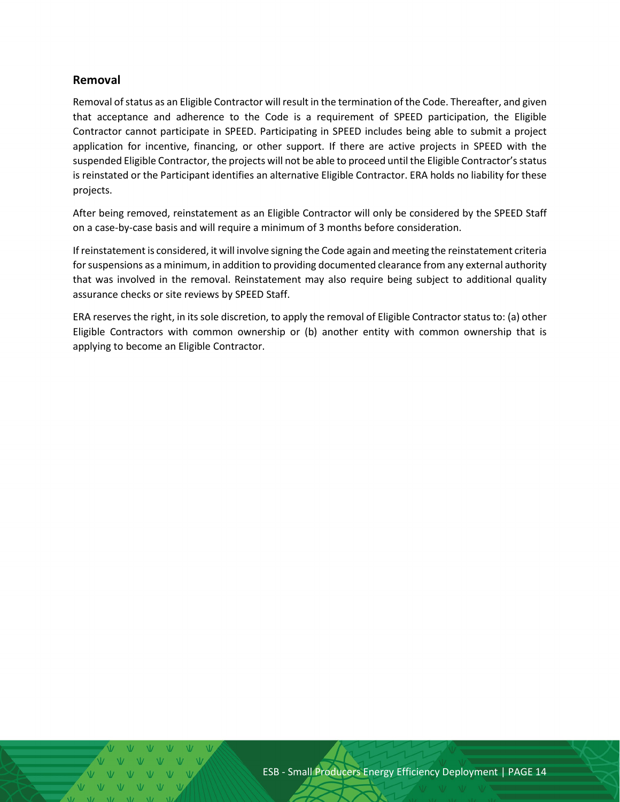#### <span id="page-13-0"></span>**Removal**

Removal of status as an Eligible Contractor will result in the termination of the Code. Thereafter, and given that acceptance and adherence to the Code is a requirement of SPEED participation, the Eligible Contractor cannot participate in SPEED. Participating in SPEED includes being able to submit a project application for incentive, financing, or other support. If there are active projects in SPEED with the suspended Eligible Contractor, the projects will not be able to proceed until the Eligible Contractor's status is reinstated or the Participant identifies an alternative Eligible Contractor. ERA holds no liability for these projects.

After being removed, reinstatement as an Eligible Contractor will only be considered by the SPEED Staff on a case-by-case basis and will require a minimum of 3 months before consideration.

If reinstatement is considered, it will involve signing the Code again and meeting the reinstatement criteria for suspensions as a minimum, in addition to providing documented clearance from any external authority that was involved in the removal. Reinstatement may also require being subject to additional quality assurance checks or site reviews by SPEED Staff.

ERA reserves the right, in its sole discretion, to apply the removal of Eligible Contractor status to: (a) other Eligible Contractors with common ownership or (b) another entity with common ownership that is applying to become an Eligible Contractor.